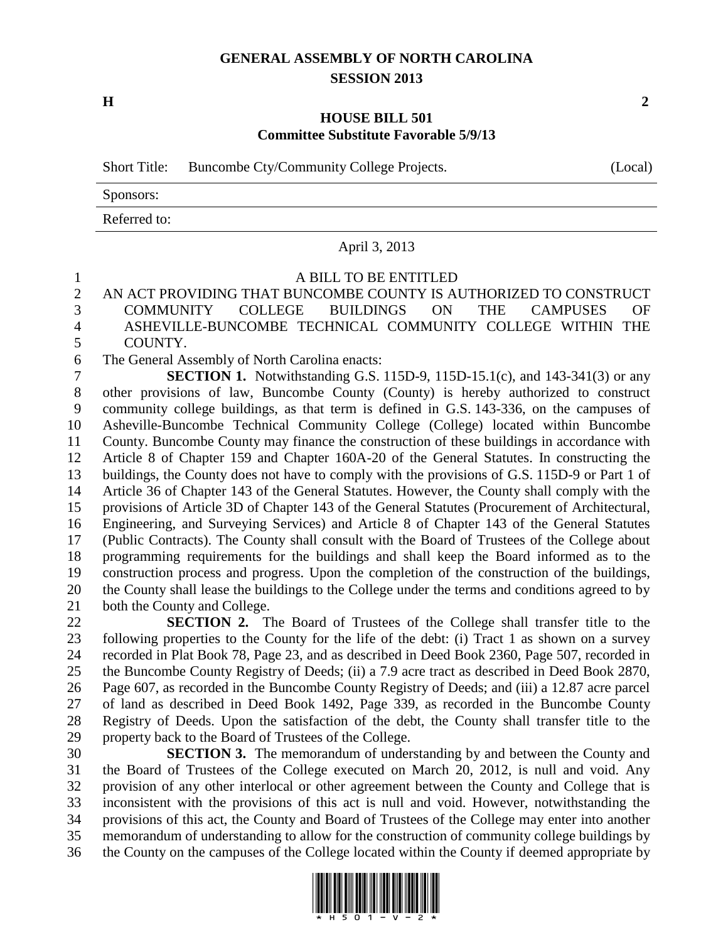## **GENERAL ASSEMBLY OF NORTH CAROLINA SESSION 2013**

**H 2**

#### **HOUSE BILL 501 Committee Substitute Favorable 5/9/13**

Short Title: Buncombe Cty/Community College Projects. (Local)

Sponsors:

Referred to:

## April 3, 2013

#### A BILL TO BE ENTITLED

 AN ACT PROVIDING THAT BUNCOMBE COUNTY IS AUTHORIZED TO CONSTRUCT COMMUNITY COLLEGE BUILDINGS ON THE CAMPUSES OF ASHEVILLE-BUNCOMBE TECHNICAL COMMUNITY COLLEGE WITHIN THE COUNTY.

The General Assembly of North Carolina enacts:

 **SECTION 1.** Notwithstanding G.S. 115D-9, 115D-15.1(c), and 143-341(3) or any other provisions of law, Buncombe County (County) is hereby authorized to construct community college buildings, as that term is defined in G.S. 143-336, on the campuses of Asheville-Buncombe Technical Community College (College) located within Buncombe County. Buncombe County may finance the construction of these buildings in accordance with Article 8 of Chapter 159 and Chapter 160A-20 of the General Statutes. In constructing the buildings, the County does not have to comply with the provisions of G.S. 115D-9 or Part 1 of Article 36 of Chapter 143 of the General Statutes. However, the County shall comply with the provisions of Article 3D of Chapter 143 of the General Statutes (Procurement of Architectural, Engineering, and Surveying Services) and Article 8 of Chapter 143 of the General Statutes (Public Contracts). The County shall consult with the Board of Trustees of the College about programming requirements for the buildings and shall keep the Board informed as to the construction process and progress. Upon the completion of the construction of the buildings, the County shall lease the buildings to the College under the terms and conditions agreed to by both the County and College.

 **SECTION 2.** The Board of Trustees of the College shall transfer title to the following properties to the County for the life of the debt: (i) Tract 1 as shown on a survey recorded in Plat Book 78, Page 23, and as described in Deed Book 2360, Page 507, recorded in the Buncombe County Registry of Deeds; (ii) a 7.9 acre tract as described in Deed Book 2870, Page 607, as recorded in the Buncombe County Registry of Deeds; and (iii) a 12.87 acre parcel of land as described in Deed Book 1492, Page 339, as recorded in the Buncombe County Registry of Deeds. Upon the satisfaction of the debt, the County shall transfer title to the property back to the Board of Trustees of the College.

 **SECTION 3.** The memorandum of understanding by and between the County and the Board of Trustees of the College executed on March 20, 2012, is null and void. Any provision of any other interlocal or other agreement between the County and College that is inconsistent with the provisions of this act is null and void. However, notwithstanding the provisions of this act, the County and Board of Trustees of the College may enter into another memorandum of understanding to allow for the construction of community college buildings by the County on the campuses of the College located within the County if deemed appropriate by